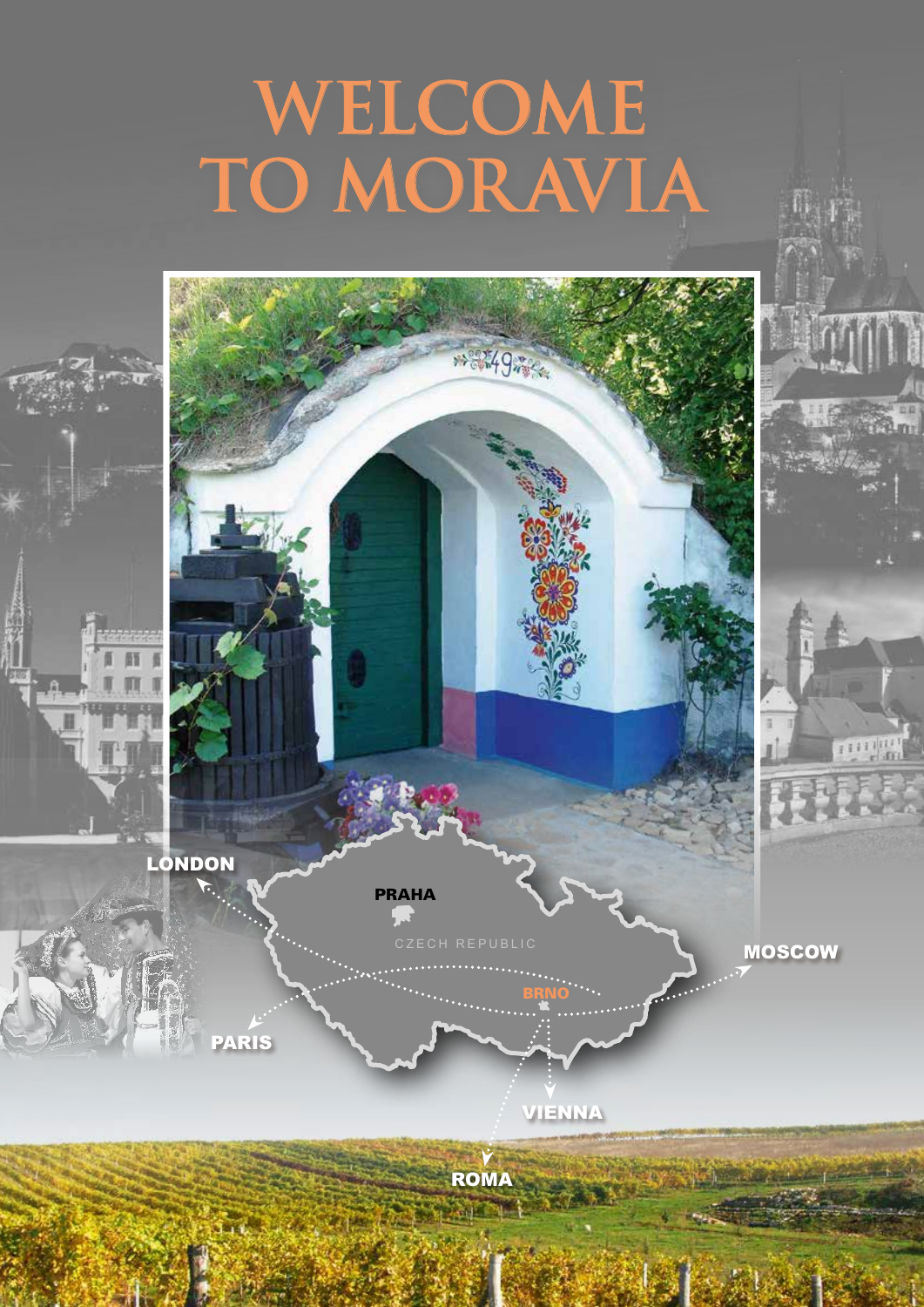# **WELCOME TO MORAVIA**

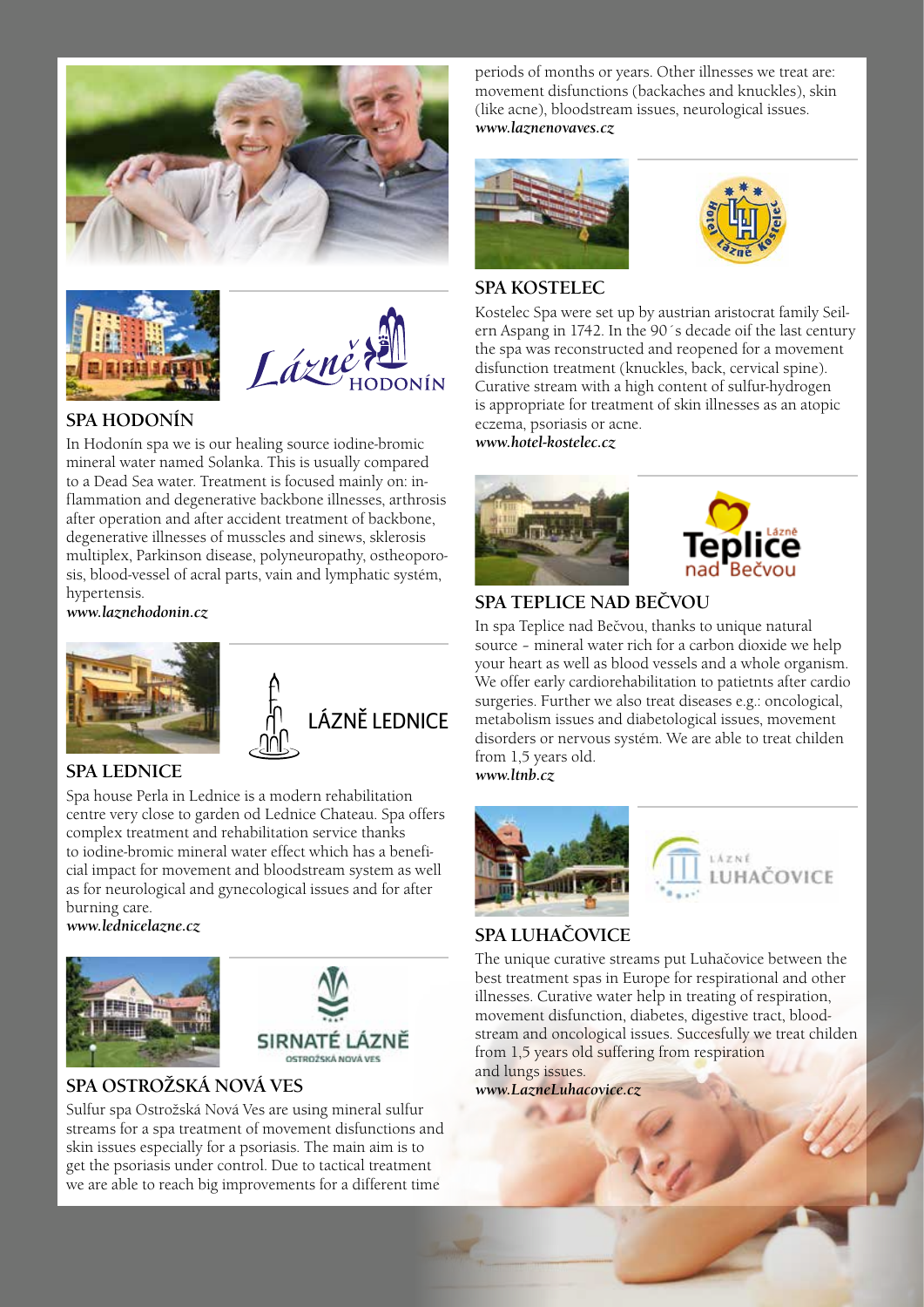





### **SPA HODONÍN**

In Hodonín spa we is our healing source iodine-bromic mineral water named Solanka. This is usually compared to a Dead Sea water. Treatment is focused mainly on: inflammation and degenerative backbone illnesses, arthrosis after operation and after accident treatment of backbone, degenerative illnesses of musscles and sinews, sklerosis multiplex, Parkinson disease, polyneuropathy, ostheoporosis, blood-vessel of acral parts, vain and lymphatic systém, hypertensis.

*www.laznehodonin.cz*





### **SPA LEDNICE**

Spa house Perla in Lednice is a modern rehabilitation centre very close to garden od Lednice Chateau. Spa offers complex treatment and rehabilitation service thanks to iodine-bromic mineral water effect which has a beneficial impact for movement and bloodstream system as well as for neurological and gynecological issues and for after burning care.

*www.lednicelazne.cz*





### **SPA OSTROŽSKÁ NOVÁ VES**

Sulfur spa Ostrožská Nová Ves are using mineral sulfur streams for a spa treatment of movement disfunctions and skin issues especially for a psoriasis. The main aim is to get the psoriasis under control. Due to tactical treatment we are able to reach big improvements for a different time

periods of months or years. Other illnesses we treat are: movement disfunctions (backaches and knuckles), skin (like acne), bloodstream issues, neurological issues. *www.laznenovaves.cz*





#### **SPA KOSTELEC**

Kostelec Spa were set up by austrian aristocrat family Seilern Aspang in 1742. In the 90´s decade oif the last century the spa was reconstructed and reopened for a movement disfunction treatment (knuckles, back, cervical spine). Curative stream with a high content of sulfur-hydrogen is appropriate for treatment of skin illnesses as an atopic eczema, psoriasis or acne.

*www.hotel-kostelec.cz*





### **SPA TEPLICE NAD BEČVOU**

In spa Teplice nad Bečvou, thanks to unique natural source – mineral water rich for a carbon dioxide we help your heart as well as blood vessels and a whole organism. We offer early cardiorehabilitation to patietnts after cardio surgeries. Further we also treat diseases e.g.: oncological, metabolism issues and diabetological issues, movement disorders or nervous systém. We are able to treat childen from 1,5 years old.

*www.ltnb.cz*



# **HACOVICE**

### **SPA LUHAČOVICE**

The unique curative streams put Luhačovice between the best treatment spas in Europe for respirational and other illnesses. Curative water help in treating of respiration, movement disfunction, diabetes, digestive tract, bloodstream and oncological issues. Succesfully we treat childen from 1,5 years old suffering from respiration and lungs issues.

*www.LazneLuhacovice.cz*